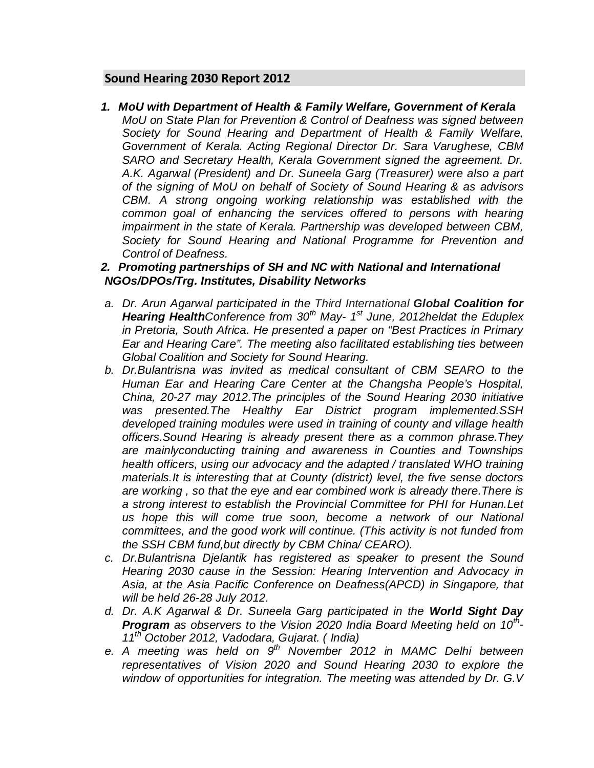# **Sound Hearing 2030 Report 2012**

*1. MoU with Department of Health & Family Welfare, Government of Kerala MoU on State Plan for Prevention & Control of Deafness was signed between Society for Sound Hearing and Department of Health & Family Welfare, Government of Kerala. Acting Regional Director Dr. Sara Varughese, CBM SARO and Secretary Health, Kerala Government signed the agreement. Dr. A.K. Agarwal (President) and Dr. Suneela Garg (Treasurer) were also a part of the signing of MoU on behalf of Society of Sound Hearing & as advisors CBM. A strong ongoing working relationship was established with the common goal of enhancing the services offered to persons with hearing impairment in the state of Kerala. Partnership was developed between CBM, Society for Sound Hearing and National Programme for Prevention and Control of Deafness.*

# *2. Promoting partnerships of SH and NC with National and International NGOs/DPOs/Trg. Institutes, Disability Networks*

- *a. Dr. Arun Agarwal participated in the Third International Global Coalition for Hearing HealthConference from 30th May- 1st June, 2012heldat the Eduplex in Pretoria, South Africa. He presented a paper on "Best Practices in Primary Ear and Hearing Care". The meeting also facilitated establishing ties between Global Coalition and Society for Sound Hearing.*
- *b. Dr.Bulantrisna was invited as medical consultant of CBM SEARO to the Human Ear and Hearing Care Center at the Changsha People's Hospital, China, 20-27 may 2012.The principles of the Sound Hearing 2030 initiative was presented.The Healthy Ear District program implemented.SSH developed training modules were used in training of county and village health officers.Sound Hearing is already present there as a common phrase.They are mainlyconducting training and awareness in Counties and Townships health officers, using our advocacy and the adapted / translated WHO training materials.It is interesting that at County (district) level, the five sense doctors are working , so that the eye and ear combined work is already there.There is a strong interest to establish the Provincial Committee for PHI for Hunan.Let us hope this will come true soon, become a network of our National committees, and the good work will continue. (This activity is not funded from the SSH CBM fund,but directly by CBM China/ CEARO).*
- *c. Dr.Bulantrisna Djelantik has registered as speaker to present the Sound Hearing 2030 cause in the Session: Hearing Intervention and Advocacy in Asia, at the Asia Pacific Conference on Deafness(APCD) in Singapore, that will be held 26-28 July 2012.*
- *d. Dr. A.K Agarwal & Dr. Suneela Garg participated in the World Sight Day Program as observers to the Vision 2020 India Board Meeting held on 10th-11th October 2012, Vadodara, Gujarat. ( India)*
- *e. A meeting was held on 9th November 2012 in MAMC Delhi between representatives of Vision 2020 and Sound Hearing 2030 to explore the window of opportunities for integration. The meeting was attended by Dr. G.V*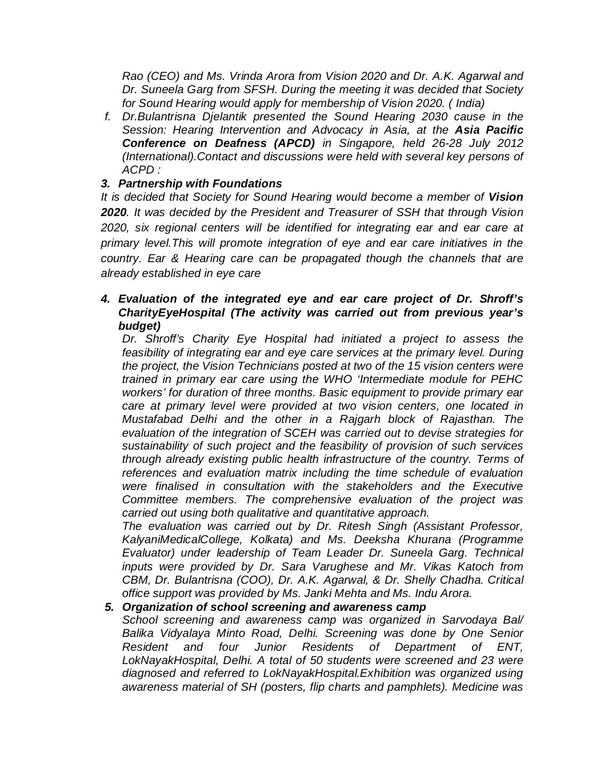*Rao (CEO) and Ms. Vrinda Arora from Vision 2020 and Dr. A.K. Agarwal and Dr. Suneela Garg from SFSH. During the meeting it was decided that Society for Sound Hearing would apply for membership of Vision 2020. ( India)*

*f. Dr.Bulantrisna Djelantik presented the Sound Hearing 2030 cause in the Session: Hearing Intervention and Advocacy in Asia, at the Asia Pacific Conference on Deafness (APCD) in Singapore, held 26-28 July 2012 (International).Contact and discussions were held with several key persons of ACPD :*

# *3. Partnership with Foundations*

*It is decided that Society for Sound Hearing would become a member of Vision 2020. It was decided by the President and Treasurer of SSH that through Vision 2020, six regional centers will be identified for integrating ear and ear care at primary level.This will promote integration of eye and ear care initiatives in the country. Ear & Hearing care can be propagated though the channels that are already established in eye care* 

# *4. Evaluation of the integrated eye and ear care project of Dr. Shroff's CharityEyeHospital (The activity was carried out from previous year's budget)*

*Dr. Shroff's Charity Eye Hospital had initiated a project to assess the feasibility of integrating ear and eye care services at the primary level. During the project, the Vision Technicians posted at two of the 15 vision centers were trained in primary ear care using the WHO 'Intermediate module for PEHC workers' for duration of three months. Basic equipment to provide primary ear care at primary level were provided at two vision centers, one located in Mustafabad Delhi and the other in a Rajgarh block of Rajasthan. The evaluation of the integration of SCEH was carried out to devise strategies for sustainability of such project and the feasibility of provision of such services through already existing public health infrastructure of the country. Terms of references and evaluation matrix including the time schedule of evaluation were finalised in consultation with the stakeholders and the Executive Committee members. The comprehensive evaluation of the project was carried out using both qualitative and quantitative approach.*

*The evaluation was carried out by Dr. Ritesh Singh (Assistant Professor, KalyaniMedicalCollege, Kolkata) and Ms. Deeksha Khurana (Programme Evaluator) under leadership of Team Leader Dr. Suneela Garg. Technical inputs were provided by Dr. Sara Varughese and Mr. Vikas Katoch from CBM, Dr. Bulantrisna (COO), Dr. A.K. Agarwal, & Dr. Shelly Chadha. Critical office support was provided by Ms. Janki Mehta and Ms. Indu Arora.*

#### *5. Organization of school screening and awareness camp*

*School screening and awareness camp was organized in Sarvodaya Bal/ Balika Vidyalaya Minto Road, Delhi. Screening was done by One Senior Resident and four Junior Residents of Department of ENT, LokNayakHospital, Delhi. A total of 50 students were screened and 23 were diagnosed and referred to LokNayakHospital.Exhibition was organized using awareness material of SH (posters, flip charts and pamphlets). Medicine was*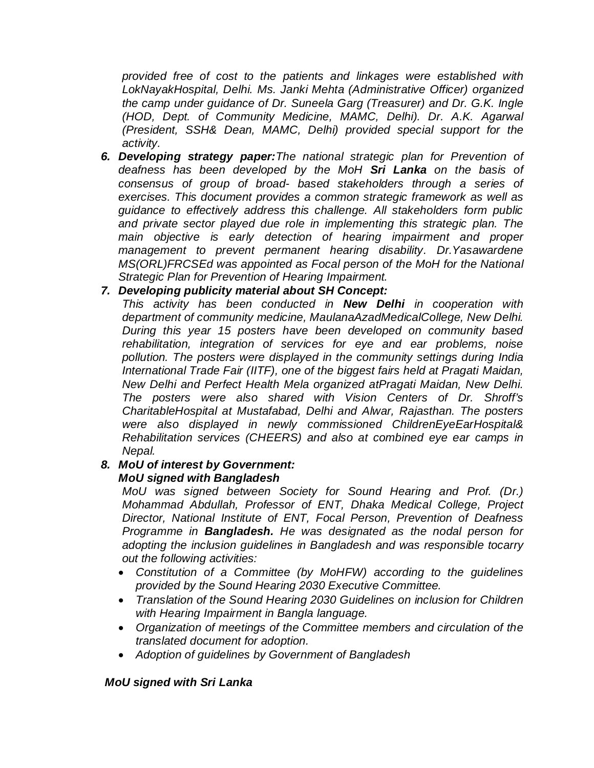*provided free of cost to the patients and linkages were established with LokNayakHospital, Delhi. Ms. Janki Mehta (Administrative Officer) organized the camp under guidance of Dr. Suneela Garg (Treasurer) and Dr. G.K. Ingle (HOD, Dept. of Community Medicine, MAMC, Delhi). Dr. A.K. Agarwal (President, SSH& Dean, MAMC, Delhi) provided special support for the activity.*

*6. Developing strategy paper:The national strategic plan for Prevention of deafness has been developed by the MoH Sri Lanka on the basis of consensus of group of broad- based stakeholders through a series of exercises. This document provides a common strategic framework as well as guidance to effectively address this challenge. All stakeholders form public and private sector played due role in implementing this strategic plan. The main objective is early detection of hearing impairment and proper management to prevent permanent hearing disability. Dr.Yasawardene MS(ORL)FRCSEd was appointed as Focal person of the MoH for the National Strategic Plan for Prevention of Hearing Impairment.*

#### *7. Developing publicity material about SH Concept:*

*This activity has been conducted in New Delhi in cooperation with department of community medicine, MaulanaAzadMedicalCollege, New Delhi. During this year 15 posters have been developed on community based rehabilitation, integration of services for eye and ear problems, noise pollution. The posters were displayed in the community settings during India International Trade Fair (IITF), one of the biggest fairs held at Pragati Maidan, New Delhi and Perfect Health Mela organized atPragati Maidan, New Delhi. The posters were also shared with Vision Centers of Dr. Shroff's CharitableHospital at Mustafabad, Delhi and Alwar, Rajasthan. The posters were also displayed in newly commissioned ChildrenEyeEarHospital& Rehabilitation services (CHEERS) and also at combined eye ear camps in Nepal.*

# *8. MoU of interest by Government:*

#### *MoU signed with Bangladesh*

*MoU was signed between Society for Sound Hearing and Prof. (Dr.) Mohammad Abdullah, Professor of ENT, Dhaka Medical College, Project Director, National Institute of ENT, Focal Person, Prevention of Deafness Programme in Bangladesh. He was designated as the nodal person for adopting the inclusion guidelines in Bangladesh and was responsible tocarry out the following activities:*

- *Constitution of a Committee (by MoHFW) according to the guidelines provided by the Sound Hearing 2030 Executive Committee.*
- *Translation of the Sound Hearing 2030 Guidelines on inclusion for Children with Hearing Impairment in Bangla language.*
- *Organization of meetings of the Committee members and circulation of the translated document for adoption.*
- *Adoption of guidelines by Government of Bangladesh*

#### *MoU signed with Sri Lanka*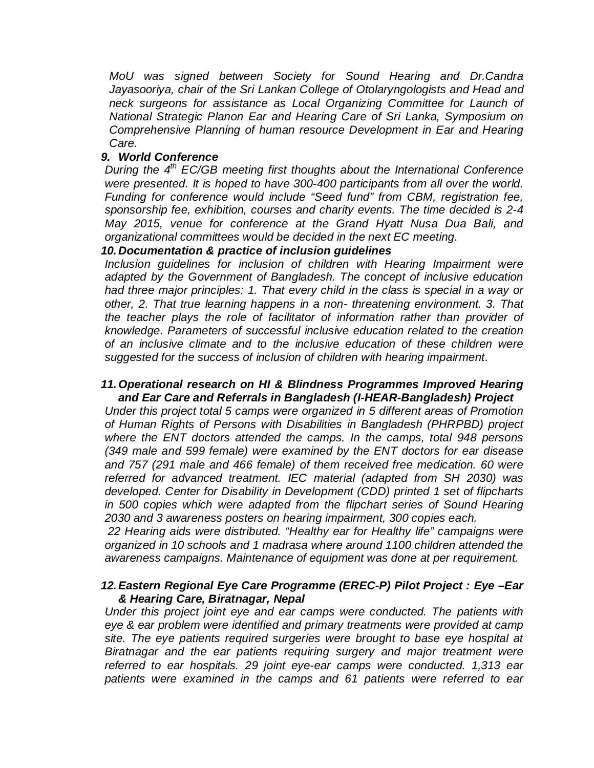*MoU was signed between Society for Sound Hearing and Dr.Candra Jayasooriya, chair of the Sri Lankan College of Otolaryngologists and Head and neck surgeons for assistance as Local Organizing Committee for Launch of National Strategic Planon Ear and Hearing Care of Sri Lanka, Symposium on Comprehensive Planning of human resource Development in Ear and Hearing Care.*

#### *9. World Conference*

*During the 4<sup>th</sup> EC/GB meeting first thoughts about the International Conference were presented. It is hoped to have 300-400 participants from all over the world. Funding for conference would include "Seed fund" from CBM, registration fee, sponsorship fee, exhibition, courses and charity events. The time decided is 2-4 May 2015, venue for conference at the Grand Hyatt Nusa Dua Bali, and organizational committees would be decided in the next EC meeting.*

#### *10. Documentation & practice of inclusion guidelines*

*Inclusion guidelines for inclusion of children with Hearing Impairment were adapted by the Government of Bangladesh. The concept of inclusive education had three major principles: 1. That every child in the class is special in a way or other, 2. That true learning happens in a non- threatening environment. 3. That the teacher plays the role of facilitator of information rather than provider of knowledge. Parameters of successful inclusive education related to the creation of an inclusive climate and to the inclusive education of these children were suggested for the success of inclusion of children with hearing impairment*.

#### *11.Operational research on HI & Blindness Programmes Improved Hearing and Ear Care and Referrals in Bangladesh (I-HEAR-Bangladesh) Project*

*Under this project total 5 camps were organized in 5 different areas of Promotion of Human Rights of Persons with Disabilities in Bangladesh (PHRPBD) project where the ENT doctors attended the camps. In the camps, total 948 persons (349 male and 599 female) were examined by the ENT doctors for ear disease and 757 (291 male and 466 female) of them received free medication. 60 were referred for advanced treatment. IEC material (adapted from SH 2030) was developed. Center for Disability in Development (CDD) printed 1 set of flipcharts in 500 copies which were adapted from the flipchart series of Sound Hearing 2030 and 3 awareness posters on hearing impairment, 300 copies each.*

*22 Hearing aids were distributed. "Healthy ear for Healthy life" campaigns were organized in 10 schools and 1 madrasa where around 1100 children attended the awareness campaigns. Maintenance of equipment was done at per requirement.*

#### *12.Eastern Regional Eye Care Programme (EREC-P) Pilot Project : Eye –Ear & Hearing Care, Biratnagar, Nepal*

*Under this project joint eye and ear camps were conducted. The patients with eye & ear problem were identified and primary treatments were provided at camp site. The eye patients required surgeries were brought to base eye hospital at Biratnagar and the ear patients requiring surgery and major treatment were referred to ear hospitals. 29 joint eye-ear camps were conducted. 1,313 ear patients were examined in the camps and 61 patients were referred to ear*